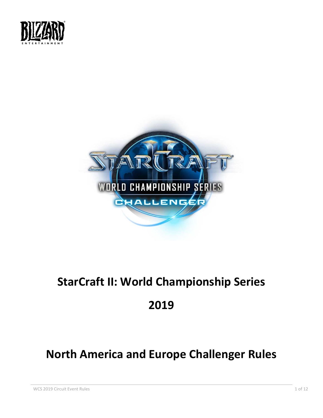



# **StarCraft II: World Championship Series**

## **2019**

# **North America and Europe Challenger Rules**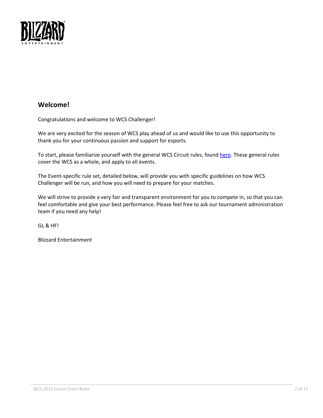

## **Welcome!**

Congratulations and welcome to WCS Challenger!

We are very excited for the season of WCS play ahead of us and would like to use this opportunity to thank you for your continuous passion and support for esports.

To start, please familiarize yourself with the general WCS Circuit rules, found [here.](https://bnetcmsus-a.akamaihd.net/cms/gallery/no/NOKZ0GJO1ZP31549474261241.pdf) These general rules cover the WCS as a whole, and apply to all events.

The Event-specific rule set, detailed below, will provide you with specific guidelines on how WCS Challenger will be run, and how you will need to prepare for your matches.

We will strive to provide a very fair and transparent environment for you to compete in, so that you can feel comfortable and give your best performance. Please feel free to ask our tournament administration team if you need any help!

GL & HF!

Blizzard Entertainment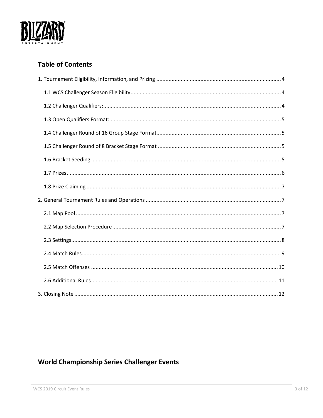

## **Table of Contents**

## **World Championship Series Challenger Events**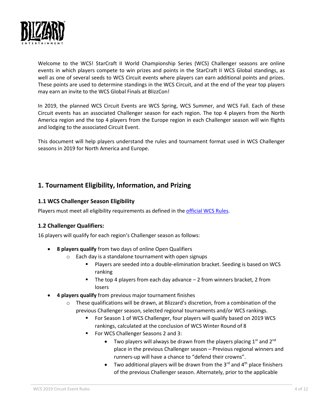

Welcome to the WCS! StarCraft II World Championship Series (WCS) Challenger seasons are online events in which players compete to win prizes and points in the StarCraft II WCS Global standings, as well as one of several seeds to WCS Circuit events where players can earn additional points and prizes. These points are used to determine standings in the WCS Circuit, and at the end of the year top players may earn an invite to the WCS Global Finals at BlizzCon!

In 2019, the planned WCS Circuit Events are WCS Spring, WCS Summer, and WCS Fall. Each of these Circuit events has an associated Challenger season for each region. The top 4 players from the North America region and the top 4 players from the Europe region in each Challenger season will win flights and lodging to the associated Circuit Event.

This document will help players understand the rules and tournament format used in WCS Challenger seasons in 2019 for North America and Europe.

## <span id="page-3-0"></span>**1. Tournament Eligibility, Information, and Prizing**

## <span id="page-3-1"></span>**1.1 WCS Challenger Season Eligibility**

Players must meet all eligibility requirements as defined in the [official WCS Rules.](https://bnetcmsus-a.akamaihd.net/cms/gallery/no/NOKZ0GJO1ZP31549474261241.pdf)

## <span id="page-3-2"></span>**1.2 Challenger Qualifiers:**

16 players will qualify for each region's Challenger season as follows:

- **8 players qualify** from two days of online Open Qualifiers
	- o Each day is a standalone tournament with open signups
		- Players are seeded into a double-elimination bracket. Seeding is based on WCS ranking
		- The top 4 players from each day advance  $-2$  from winners bracket, 2 from losers
- **4 players qualify** from previous major tournament finishes
	- $\circ$  These qualifications will be drawn, at Blizzard's discretion, from a combination of the previous Challenger season, selected regional tournaments and/or WCS rankings.
		- For Season 1 of WCS Challenger, four players will qualify based on 2019 WCS rankings, calculated at the conclusion of WCS Winter Round of 8
		- For WCS Challenger Seasons 2 and 3:
			- Two players will always be drawn from the players placing  $1<sup>st</sup>$  and  $2<sup>nd</sup>$ place in the previous Challenger season – Previous regional winners and runners-up will have a chance to "defend their crowns".
			- Two additional players will be drawn from the  $3^{rd}$  and  $4^{th}$  place finishers of the previous Challenger season. Alternately, prior to the applicable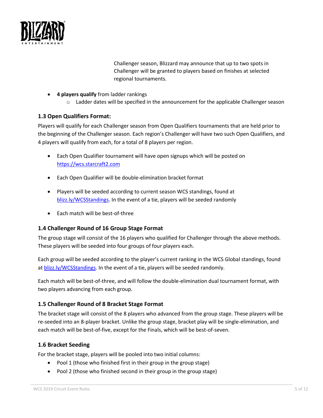

Challenger season, Blizzard may announce that up to two spots in Challenger will be granted to players based on finishes at selected regional tournaments.

- **4 players qualify** from ladder rankings
	- $\circ$  Ladder dates will be specified in the announcement for the applicable Challenger season

## <span id="page-4-0"></span>**1.3 Open Qualifiers Format:**

Players will qualify for each Challenger season from Open Qualifiers tournaments that are held prior to the beginning of the Challenger season. Each region's Challenger will have two such Open Qualifiers, and 4 players will qualify from each, for a total of 8 players per region.

- Each Open Qualifier tournament will have open signups which will be posted on [https://wcs.starcraft2.com](https://wcs.starcraft2.com/)
- Each Open Qualifier will be double-elimination bracket format
- Players will be seeded according to current season WCS standings, found at [blizz.ly/WCSStandings.](http://blizz.ly/WCSStandings) In the event of a tie, players will be seeded randomly
- Each match will be best-of-three

## <span id="page-4-1"></span>**1.4 Challenger Round of 16 Group Stage Format**

The group stage will consist of the 16 players who qualified for Challenger through the above methods. These players will be seeded into four groups of four players each.

Each group will be seeded according to the player's current ranking in the WCS Global standings, found a[t blizz.ly/WCSStandings.](http://blizz.ly/WCSStandings) In the event of a tie, players will be seeded randomly.

Each match will be best-of-three, and will follow the double-elimination dual tournament format, with two players advancing from each group.

## <span id="page-4-2"></span>**1.5 Challenger Round of 8 Bracket Stage Format**

The bracket stage will consist of the 8 players who advanced from the group stage. These players will be re-seeded into an 8-player bracket. Unlike the group stage, bracket play will be single-elimination, and each match will be best-of-five, except for the Finals, which will be best-of-seven.

## <span id="page-4-3"></span>**1.6 Bracket Seeding**

For the bracket stage, players will be pooled into two initial columns:

- Pool 1 (those who finished first in their group in the group stage)
- Pool 2 (those who finished second in their group in the group stage)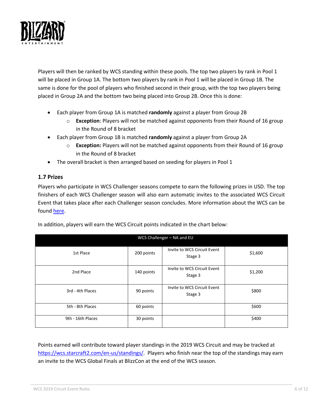

Players will then be ranked by WCS standing within these pools. The top two players by rank in Pool 1 will be placed in Group 1A. The bottom two players by rank in Pool 1 will be placed in Group 1B. The same is done for the pool of players who finished second in their group, with the top two players being placed in Group 2A and the bottom two being placed into Group 2B. Once this is done:

- Each player from Group 1A is matched **randomly** against a player from Group 2B
	- o **Exception**: Players will not be matched against opponents from their Round of 16 group in the Round of 8 bracket
- Each player from Group 1B is matched **randomly** against a player from Group 2A
	- o **Exception:** Players will not be matched against opponents from their Round of 16 group in the Round of 8 bracket
- The overall bracket is then arranged based on seeding for players in Pool 1

## <span id="page-5-0"></span>**1.7 Prizes**

Players who participate in WCS Challenger seasons compete to earn the following prizes in USD. The top finishers of each WCS Challenger season will also earn automatic invites to the associated WCS Circuit Event that takes place after each Challenger season concludes. More information about the WCS can be found [here.](https://wcs.starcraft2.com/en-us/about/)

| WCS Challenger - NA and EU |            |                                        |         |  |  |
|----------------------------|------------|----------------------------------------|---------|--|--|
| 1st Place                  | 200 points | Invite to WCS Circuit Event<br>Stage 3 | \$1,600 |  |  |
| 2nd Place                  | 140 points | Invite to WCS Circuit Event<br>Stage 3 | \$1,200 |  |  |
| 3rd - 4th Places           | 90 points  | Invite to WCS Circuit Event<br>Stage 3 | \$800   |  |  |
| 5th - 8th Places           | 60 points  |                                        | \$600   |  |  |
| 9th - 16th Places          | 30 points  |                                        | \$400   |  |  |

In addition, players will earn the WCS Circuit points indicated in the chart below:

Points earned will contribute toward player standings in the 2019 WCS Circuit and may be tracked at [https://wcs.starcraft2.com/en-us/standings/.](https://wcs.starcraft2.com/en-us/standings/) Players who finish near the top of the standings may earn an invite to the WCS Global Finals at BlizzCon at the end of the WCS season.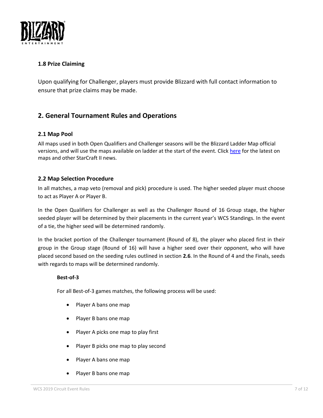

## <span id="page-6-0"></span>**1.8 Prize Claiming**

Upon qualifying for Challenger, players must provide Blizzard with full contact information to ensure that prize claims may be made.

## <span id="page-6-1"></span>**2. General Tournament Rules and Operations**

### <span id="page-6-2"></span>**2.1 Map Pool**

All maps used in both Open Qualifiers and Challenger seasons will be the Blizzard Ladder Map official versions, and will use the maps available on ladder at the start of the event. Clic[k here](https://starcraft2.com/en-us/news) for the latest on maps and other StarCraft II news.

## <span id="page-6-3"></span>**2.2 Map Selection Procedure**

In all matches, a map veto (removal and pick) procedure is used. The higher seeded player must choose to act as Player A or Player B.

In the Open Qualifiers for Challenger as well as the Challenger Round of 16 Group stage, the higher seeded player will be determined by their placements in the current year's WCS Standings. In the event of a tie, the higher seed will be determined randomly.

In the bracket portion of the Challenger tournament (Round of 8), the player who placed first in their group in the Group stage (Round of 16) will have a higher seed over their opponent, who will have placed second based on the seeding rules outlined in section **2.6**. In the Round of 4 and the Finals, seeds with regards to maps will be determined randomly.

### **Best-of-3**

For all Best-of-3 games matches, the following process will be used:

- Player A bans one map
- Player B bans one map
- Player A picks one map to play first
- Player B picks one map to play second
- Player A bans one map
- Player B bans one map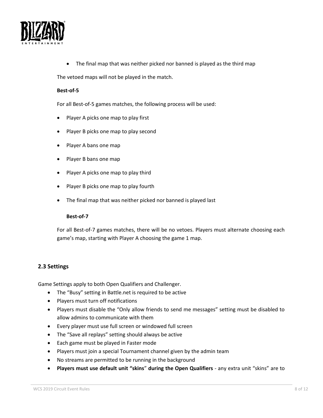

• The final map that was neither picked nor banned is played as the third map

The vetoed maps will not be played in the match.

#### **Best-of-5**

For all Best-of-5 games matches, the following process will be used:

- Player A picks one map to play first
- Player B picks one map to play second
- Player A bans one map
- Player B bans one map
- Player A picks one map to play third
- Player B picks one map to play fourth
- The final map that was neither picked nor banned is played last

#### **Best-of-7**

For all Best-of-7 games matches, there will be no vetoes. Players must alternate choosing each game's map, starting with Player A choosing the game 1 map.

## <span id="page-7-0"></span>**2.3 Settings**

Game Settings apply to both Open Qualifiers and Challenger.

- The "Busy" setting in Battle.net is required to be active
- Players must turn off notifications
- Players must disable the "Only allow friends to send me messages" setting must be disabled to allow admins to communicate with them
- Every player must use full screen or windowed full screen
- The "Save all replays" setting should always be active
- Each game must be played in Faster mode
- Players must join a special Tournament channel given by the admin team
- No streams are permitted to be running in the background
- **Players must use default unit "skins**" **during the Open Qualifiers** any extra unit "skins" are to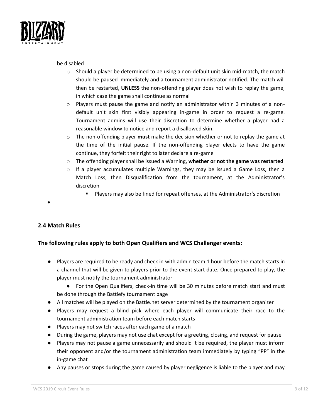

be disabled

- $\circ$  Should a player be determined to be using a non-default unit skin mid-match, the match should be paused immediately and a tournament administrator notified. The match will then be restarted, **UNLESS** the non-offending player does not wish to replay the game, in which case the game shall continue as normal
- $\circ$  Players must pause the game and notify an administrator within 3 minutes of a nondefault unit skin first visibly appearing in-game in order to request a re-game. Tournament admins will use their discretion to determine whether a player had a reasonable window to notice and report a disallowed skin.
- o The non-offending player **must** make the decision whether or not to replay the game at the time of the initial pause. If the non-offending player elects to have the game continue, they forfeit their right to later declare a re-game
- o The offending player shall be issued a Warning, **whether or not the game was restarted**
- $\circ$  If a player accumulates multiple Warnings, they may be issued a Game Loss, then a Match Loss, then Disqualification from the tournament, at the Administrator's discretion
	- Players may also be fined for repeat offenses, at the Administrator's discretion

#### •

## <span id="page-8-0"></span>**2.4 Match Rules**

## **The following rules apply to both Open Qualifiers and WCS Challenger events:**

- Players are required to be ready and check in with admin team 1 hour before the match starts in a channel that will be given to players prior to the event start date. Once prepared to play, the player must notify the tournament administrator
	- For the Open Qualifiers, check-in time will be 30 minutes before match start and must be done through the Battlefy tournament page
- All matches will be played on the Battle.net server determined by the tournament organizer
- Players may request a blind pick where each player will communicate their race to the tournament administration team before each match starts
- Players may not switch races after each game of a match
- During the game, players may not use chat except for a greeting, closing, and request for pause
- Players may not pause a game unnecessarily and should it be required, the player must inform their opponent and/or the tournament administration team immediately by typing "PP" in the in-game chat
- Any pauses or stops during the game caused by player negligence is liable to the player and may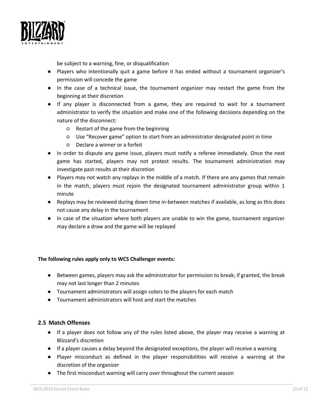

be subject to a warning, fine, or disqualification

- Players who intentionally quit a game before it has ended without a tournament organizer's permission will concede the game
- In the case of a technical issue, the tournament organizer may restart the game from the beginning at their discretion
- If any player is disconnected from a game, they are required to wait for a tournament administrator to verify the situation and make one of the following decisions depending on the nature of the disconnect:
	- Restart of the game from the beginning
	- Use "Recover game" option to start from an administrator designated point in time
	- Declare a winner or a forfeit
- In order to dispute any game issue, players must notify a referee immediately. Once the next game has started, players may not protest results. The tournament administration may investigate past results at their discretion
- Players may not watch any replays in the middle of a match. If there are any games that remain in the match, players must rejoin the designated tournament administrator group within 1 minute
- Replays may be reviewed during down time in-between matches if available, as long as this does not cause any delay in the tournament
- In case of the situation where both players are unable to win the game, tournament organizer may declare a draw and the game will be replayed

### **The following rules apply only to WCS Challenger events:**

- Between games, players may ask the administrator for permission to break; if granted, the break may not last longer than 2 minutes
- Tournament administrators will assign colors to the players for each match
- Tournament administrators will host and start the matches

### <span id="page-9-0"></span>**2.5 Match Offenses**

- If a player does not follow any of the rules listed above, the player may receive a warning at Blizzard's discretion
- If a player causes a delay beyond the designated exceptions, the player will receive a warning
- Player misconduct as defined in the player responsibilities will receive a warning at the discretion of the organizer
- The first misconduct warning will carry over throughout the current season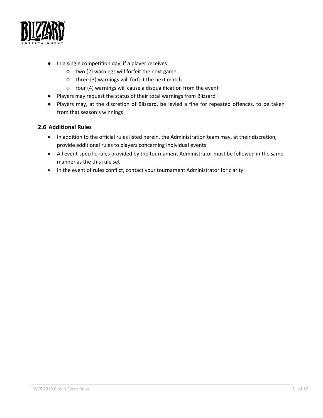

- In a single competition day, if a player receives
	- two (2) warnings will forfeit the next game
	- three (3) warnings will forfeit the next match
	- four (4) warnings will cause a disqualification from the event
- Players may request the status of their total warnings from Blizzard
- Players may, at the discretion of Blizzard, be levied a fine for repeated offences, to be taken from that season's winnings

### <span id="page-10-0"></span>**2.6 Additional Rules**

- In addition to the official rules listed herein, the Administration team may, at their discretion, provide additional rules to players concerning individual events
- All event-specific rules provided by the tournament Administrator must be followed in the same manner as the this rule set
- In the event of rules conflict, contact your tournament Administrator for clarity